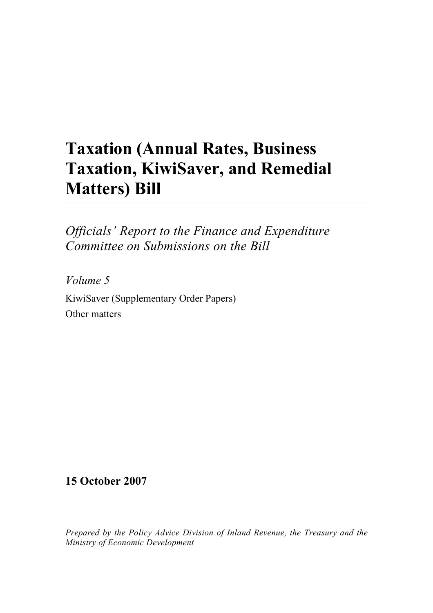## **Taxation (Annual Rates, Business Taxation, KiwiSaver, and Remedial Matters) Bill**

*Officials' Report to the Finance and Expenditure Committee on Submissions on the Bill* 

*Volume 5*  KiwiSaver (Supplementary Order Papers) Other matters

**15 October 2007** 

*Prepared by the Policy Advice Division of Inland Revenue, the Treasury and the Ministry of Economic Development*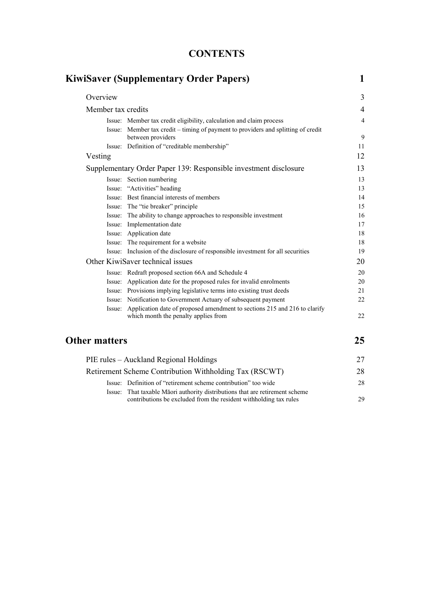| <b>CONTENTS</b> |
|-----------------|
|-----------------|

|                      | <b>KiwiSaver (Supplementary Order Papers)</b>                                                                     | $\mathbf{1}$   |
|----------------------|-------------------------------------------------------------------------------------------------------------------|----------------|
| Overview             |                                                                                                                   | 3              |
|                      | Member tax credits                                                                                                |                |
|                      | Issue: Member tax credit eligibility, calculation and claim process                                               | $\overline{4}$ |
| Issue:               | Member tax credit – timing of payment to providers and splitting of credit<br>between providers                   | 9              |
|                      | Issue: Definition of "creditable membership"                                                                      | 11             |
| Vesting              |                                                                                                                   | 12             |
|                      | Supplementary Order Paper 139: Responsible investment disclosure                                                  |                |
|                      | Issue: Section numbering                                                                                          | 13             |
|                      | Issue: "Activities" heading                                                                                       | 13             |
|                      | Issue: Best financial interests of members                                                                        | 14             |
|                      | Issue: The "tie breaker" principle                                                                                | 15             |
|                      | Issue: The ability to change approaches to responsible investment                                                 | 16             |
|                      | Issue: Implementation date                                                                                        | 17             |
|                      | Issue: Application date                                                                                           | 18             |
|                      | Issue: The requirement for a website                                                                              | 18             |
|                      | Issue: Inclusion of the disclosure of responsible investment for all securities                                   | 19             |
|                      | Other KiwiSaver technical issues                                                                                  |                |
|                      | Issue: Redraft proposed section 66A and Schedule 4                                                                | 20             |
|                      | Issue: Application date for the proposed rules for invalid enrolments                                             | 20             |
|                      | Issue: Provisions implying legislative terms into existing trust deeds                                            | 21             |
|                      | Issue: Notification to Government Actuary of subsequent payment                                                   | 22             |
| Issue:               | Application date of proposed amendment to sections 215 and 216 to clarify<br>which month the penalty applies from | 22             |
| <b>Other matters</b> |                                                                                                                   |                |
|                      | PIE rules - Auckland Regional Holdings                                                                            |                |
|                      | Retirement Scheme Contribution Withholding Tax (RSCWT)                                                            | 28             |
|                      | Issue: Definition of "retirement scheme contribution" too wide                                                    | 28             |

Issue: That taxable Māori authority distributions that are retirement scheme

contributions be excluded from the resident withholding tax rules 29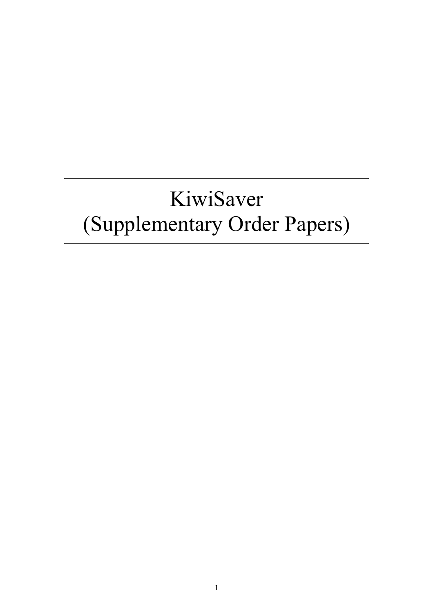# KiwiSaver (Supplementary Order Papers)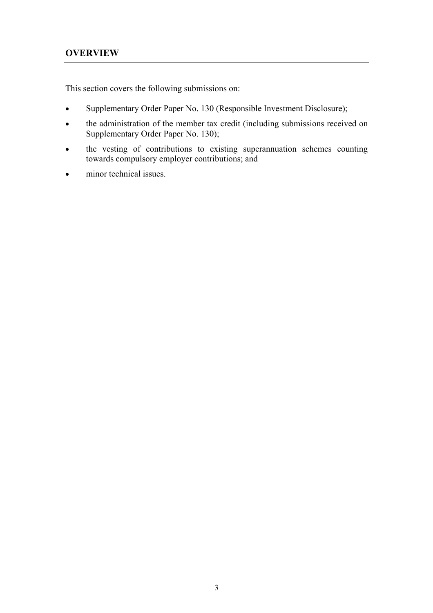This section covers the following submissions on:

- Supplementary Order Paper No. 130 (Responsible Investment Disclosure);
- the administration of the member tax credit (including submissions received on Supplementary Order Paper No. 130);
- the vesting of contributions to existing superannuation schemes counting towards compulsory employer contributions; and
- minor technical issues.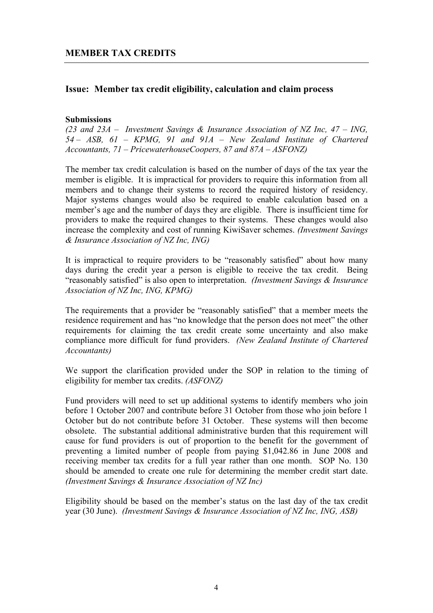## **Issue: Member tax credit eligibility, calculation and claim process**

#### **Submissions**

*(23 and 23A – Investment Savings & Insurance Association of NZ Inc, 47 – ING, 54 – ASB, 61 – KPMG, 91 and 91A – New Zealand Institute of Chartered Accountants, 71 – PricewaterhouseCoopers, 87 and 87A – ASFONZ)* 

The member tax credit calculation is based on the number of days of the tax year the member is eligible. It is impractical for providers to require this information from all members and to change their systems to record the required history of residency. Major systems changes would also be required to enable calculation based on a member's age and the number of days they are eligible. There is insufficient time for providers to make the required changes to their systems. These changes would also increase the complexity and cost of running KiwiSaver schemes. *(Investment Savings & Insurance Association of NZ Inc, ING)*

It is impractical to require providers to be "reasonably satisfied" about how many days during the credit year a person is eligible to receive the tax credit. Being "reasonably satisfied" is also open to interpretation. *(Investment Savings & Insurance Association of NZ Inc, ING, KPMG)* 

The requirements that a provider be "reasonably satisfied" that a member meets the residence requirement and has "no knowledge that the person does not meet" the other requirements for claiming the tax credit create some uncertainty and also make compliance more difficult for fund providers. *(New Zealand Institute of Chartered Accountants)* 

We support the clarification provided under the SOP in relation to the timing of eligibility for member tax credits. *(ASFONZ)* 

Fund providers will need to set up additional systems to identify members who join before 1 October 2007 and contribute before 31 October from those who join before 1 October but do not contribute before 31 October. These systems will then become obsolete. The substantial additional administrative burden that this requirement will cause for fund providers is out of proportion to the benefit for the government of preventing a limited number of people from paying \$1,042.86 in June 2008 and receiving member tax credits for a full year rather than one month. SOP No. 130 should be amended to create one rule for determining the member credit start date. *(Investment Savings & Insurance Association of NZ Inc)*

Eligibility should be based on the member's status on the last day of the tax credit year (30 June). *(Investment Savings & Insurance Association of NZ Inc, ING, ASB)*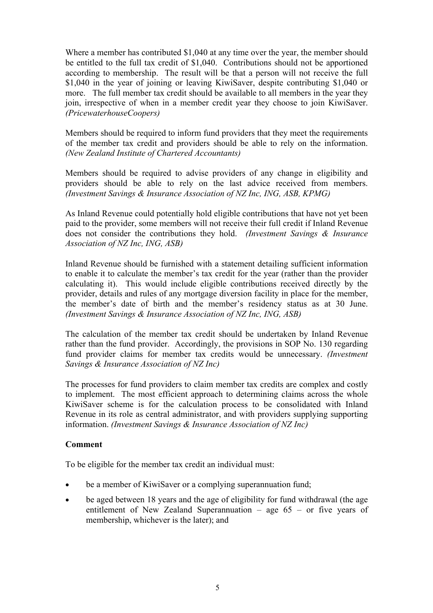Where a member has contributed \$1,040 at any time over the year, the member should be entitled to the full tax credit of \$1,040. Contributions should not be apportioned according to membership. The result will be that a person will not receive the full \$1,040 in the year of joining or leaving KiwiSaver, despite contributing \$1,040 or more. The full member tax credit should be available to all members in the year they join, irrespective of when in a member credit year they choose to join KiwiSaver. *(PricewaterhouseCoopers)*

Members should be required to inform fund providers that they meet the requirements of the member tax credit and providers should be able to rely on the information. *(New Zealand Institute of Chartered Accountants)* 

Members should be required to advise providers of any change in eligibility and providers should be able to rely on the last advice received from members. *(Investment Savings & Insurance Association of NZ Inc, ING, ASB, KPMG)* 

As Inland Revenue could potentially hold eligible contributions that have not yet been paid to the provider, some members will not receive their full credit if Inland Revenue does not consider the contributions they hold. *(Investment Savings & Insurance Association of NZ Inc, ING, ASB)*

Inland Revenue should be furnished with a statement detailing sufficient information to enable it to calculate the member's tax credit for the year (rather than the provider calculating it). This would include eligible contributions received directly by the provider, details and rules of any mortgage diversion facility in place for the member, the member's date of birth and the member's residency status as at 30 June. *(Investment Savings & Insurance Association of NZ Inc, ING, ASB)* 

The calculation of the member tax credit should be undertaken by Inland Revenue rather than the fund provider. Accordingly, the provisions in SOP No. 130 regarding fund provider claims for member tax credits would be unnecessary. *(Investment Savings & Insurance Association of NZ Inc)* 

The processes for fund providers to claim member tax credits are complex and costly to implement. The most efficient approach to determining claims across the whole KiwiSaver scheme is for the calculation process to be consolidated with Inland Revenue in its role as central administrator, and with providers supplying supporting information. *(Investment Savings & Insurance Association of NZ Inc)*

## **Comment**

To be eligible for the member tax credit an individual must:

- be a member of KiwiSaver or a complying superannuation fund;
- be aged between 18 years and the age of eligibility for fund withdrawal (the age entitlement of New Zealand Superannuation – age  $65 -$  or five years of membership, whichever is the later); and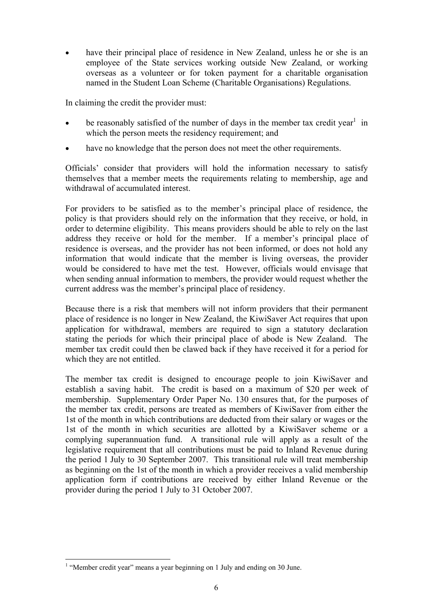have their principal place of residence in New Zealand, unless he or she is an employee of the State services working outside New Zealand, or working overseas as a volunteer or for token payment for a charitable organisation named in the Student Loan Scheme (Charitable Organisations) Regulations.

In claiming the credit the provider must:

- be reasonably satisfied of the number of days in the member tax credit year<sup>1</sup> in which the person meets the residency requirement; and
- have no knowledge that the person does not meet the other requirements.

Officials' consider that providers will hold the information necessary to satisfy themselves that a member meets the requirements relating to membership, age and withdrawal of accumulated interest.

For providers to be satisfied as to the member's principal place of residence, the policy is that providers should rely on the information that they receive, or hold, in order to determine eligibility. This means providers should be able to rely on the last address they receive or hold for the member. If a member's principal place of residence is overseas, and the provider has not been informed, or does not hold any information that would indicate that the member is living overseas, the provider would be considered to have met the test. However, officials would envisage that when sending annual information to members, the provider would request whether the current address was the member's principal place of residency.

Because there is a risk that members will not inform providers that their permanent place of residence is no longer in New Zealand, the KiwiSaver Act requires that upon application for withdrawal, members are required to sign a statutory declaration stating the periods for which their principal place of abode is New Zealand. The member tax credit could then be clawed back if they have received it for a period for which they are not entitled.

The member tax credit is designed to encourage people to join KiwiSaver and establish a saving habit. The credit is based on a maximum of \$20 per week of membership. Supplementary Order Paper No. 130 ensures that, for the purposes of the member tax credit, persons are treated as members of KiwiSaver from either the 1st of the month in which contributions are deducted from their salary or wages or the 1st of the month in which securities are allotted by a KiwiSaver scheme or a complying superannuation fund. A transitional rule will apply as a result of the legislative requirement that all contributions must be paid to Inland Revenue during the period 1 July to 30 September 2007. This transitional rule will treat membership as beginning on the 1st of the month in which a provider receives a valid membership application form if contributions are received by either Inland Revenue or the provider during the period 1 July to 31 October 2007.

 $\overline{a}$ 

<sup>&</sup>lt;sup>1</sup> "Member credit year" means a year beginning on 1 July and ending on 30 June.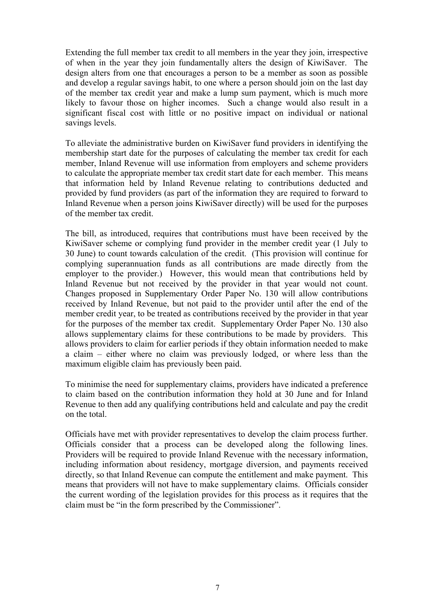Extending the full member tax credit to all members in the year they join, irrespective of when in the year they join fundamentally alters the design of KiwiSaver. The design alters from one that encourages a person to be a member as soon as possible and develop a regular savings habit, to one where a person should join on the last day of the member tax credit year and make a lump sum payment, which is much more likely to favour those on higher incomes. Such a change would also result in a significant fiscal cost with little or no positive impact on individual or national savings levels.

To alleviate the administrative burden on KiwiSaver fund providers in identifying the membership start date for the purposes of calculating the member tax credit for each member, Inland Revenue will use information from employers and scheme providers to calculate the appropriate member tax credit start date for each member. This means that information held by Inland Revenue relating to contributions deducted and provided by fund providers (as part of the information they are required to forward to Inland Revenue when a person joins KiwiSaver directly) will be used for the purposes of the member tax credit.

The bill, as introduced, requires that contributions must have been received by the KiwiSaver scheme or complying fund provider in the member credit year (1 July to 30 June) to count towards calculation of the credit. (This provision will continue for complying superannuation funds as all contributions are made directly from the employer to the provider.) However, this would mean that contributions held by Inland Revenue but not received by the provider in that year would not count. Changes proposed in Supplementary Order Paper No. 130 will allow contributions received by Inland Revenue, but not paid to the provider until after the end of the member credit year, to be treated as contributions received by the provider in that year for the purposes of the member tax credit. Supplementary Order Paper No. 130 also allows supplementary claims for these contributions to be made by providers. This allows providers to claim for earlier periods if they obtain information needed to make a claim – either where no claim was previously lodged, or where less than the maximum eligible claim has previously been paid.

To minimise the need for supplementary claims, providers have indicated a preference to claim based on the contribution information they hold at 30 June and for Inland Revenue to then add any qualifying contributions held and calculate and pay the credit on the total.

Officials have met with provider representatives to develop the claim process further. Officials consider that a process can be developed along the following lines. Providers will be required to provide Inland Revenue with the necessary information, including information about residency, mortgage diversion, and payments received directly, so that Inland Revenue can compute the entitlement and make payment. This means that providers will not have to make supplementary claims. Officials consider the current wording of the legislation provides for this process as it requires that the claim must be "in the form prescribed by the Commissioner".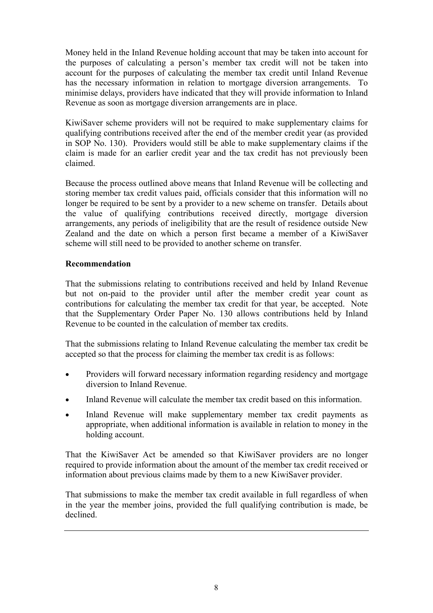Money held in the Inland Revenue holding account that may be taken into account for the purposes of calculating a person's member tax credit will not be taken into account for the purposes of calculating the member tax credit until Inland Revenue has the necessary information in relation to mortgage diversion arrangements. To minimise delays, providers have indicated that they will provide information to Inland Revenue as soon as mortgage diversion arrangements are in place.

KiwiSaver scheme providers will not be required to make supplementary claims for qualifying contributions received after the end of the member credit year (as provided in SOP No. 130). Providers would still be able to make supplementary claims if the claim is made for an earlier credit year and the tax credit has not previously been claimed.

Because the process outlined above means that Inland Revenue will be collecting and storing member tax credit values paid, officials consider that this information will no longer be required to be sent by a provider to a new scheme on transfer. Details about the value of qualifying contributions received directly, mortgage diversion arrangements, any periods of ineligibility that are the result of residence outside New Zealand and the date on which a person first became a member of a KiwiSaver scheme will still need to be provided to another scheme on transfer.

## **Recommendation**

That the submissions relating to contributions received and held by Inland Revenue but not on-paid to the provider until after the member credit year count as contributions for calculating the member tax credit for that year, be accepted. Note that the Supplementary Order Paper No. 130 allows contributions held by Inland Revenue to be counted in the calculation of member tax credits.

That the submissions relating to Inland Revenue calculating the member tax credit be accepted so that the process for claiming the member tax credit is as follows:

- Providers will forward necessary information regarding residency and mortgage diversion to Inland Revenue.
- Inland Revenue will calculate the member tax credit based on this information.
- Inland Revenue will make supplementary member tax credit payments as appropriate, when additional information is available in relation to money in the holding account.

That the KiwiSaver Act be amended so that KiwiSaver providers are no longer required to provide information about the amount of the member tax credit received or information about previous claims made by them to a new KiwiSaver provider.

That submissions to make the member tax credit available in full regardless of when in the year the member joins, provided the full qualifying contribution is made, be declined.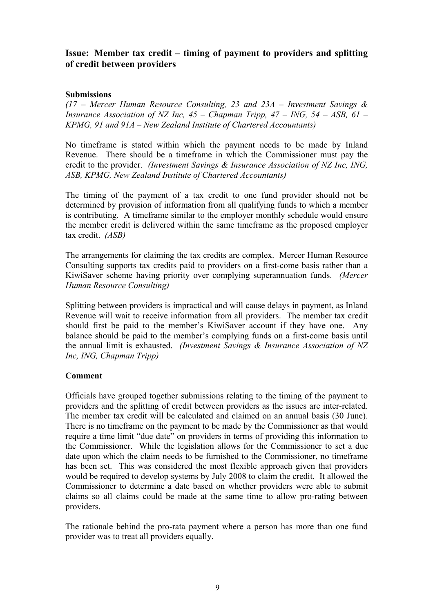## **Issue: Member tax credit – timing of payment to providers and splitting of credit between providers**

#### **Submissions**

*(17 – Mercer Human Resource Consulting, 23 and 23A – Investment Savings & Insurance Association of NZ Inc, 45 – Chapman Tripp, 47 – ING, 54 – ASB, 61 – KPMG, 91 and 91A – New Zealand Institute of Chartered Accountants)* 

No timeframe is stated within which the payment needs to be made by Inland Revenue. There should be a timeframe in which the Commissioner must pay the credit to the provider. *(Investment Savings & Insurance Association of NZ Inc, ING, ASB, KPMG, New Zealand Institute of Chartered Accountants)* 

The timing of the payment of a tax credit to one fund provider should not be determined by provision of information from all qualifying funds to which a member is contributing. A timeframe similar to the employer monthly schedule would ensure the member credit is delivered within the same timeframe as the proposed employer tax credit. *(ASB)*

The arrangements for claiming the tax credits are complex. Mercer Human Resource Consulting supports tax credits paid to providers on a first-come basis rather than a KiwiSaver scheme having priority over complying superannuation funds. *(Mercer Human Resource Consulting)*

Splitting between providers is impractical and will cause delays in payment, as Inland Revenue will wait to receive information from all providers. The member tax credit should first be paid to the member's KiwiSaver account if they have one. Any balance should be paid to the member's complying funds on a first-come basis until the annual limit is exhausted. *(Investment Savings & Insurance Association of NZ Inc, ING, Chapman Tripp)*

#### **Comment**

Officials have grouped together submissions relating to the timing of the payment to providers and the splitting of credit between providers as the issues are inter-related. The member tax credit will be calculated and claimed on an annual basis (30 June). There is no timeframe on the payment to be made by the Commissioner as that would require a time limit "due date" on providers in terms of providing this information to the Commissioner. While the legislation allows for the Commissioner to set a due date upon which the claim needs to be furnished to the Commissioner, no timeframe has been set. This was considered the most flexible approach given that providers would be required to develop systems by July 2008 to claim the credit. It allowed the Commissioner to determine a date based on whether providers were able to submit claims so all claims could be made at the same time to allow pro-rating between providers.

The rationale behind the pro-rata payment where a person has more than one fund provider was to treat all providers equally.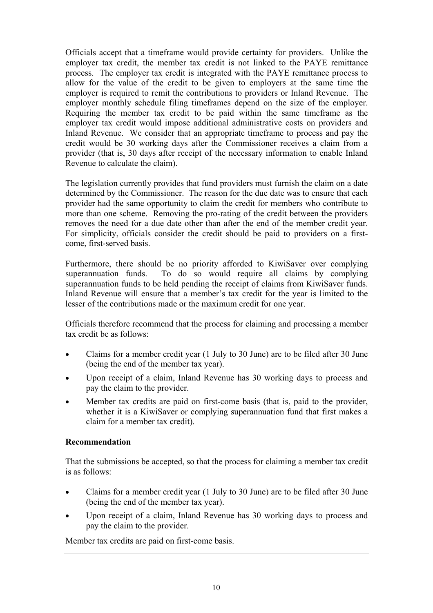Officials accept that a timeframe would provide certainty for providers. Unlike the employer tax credit, the member tax credit is not linked to the PAYE remittance process. The employer tax credit is integrated with the PAYE remittance process to allow for the value of the credit to be given to employers at the same time the employer is required to remit the contributions to providers or Inland Revenue. The employer monthly schedule filing timeframes depend on the size of the employer. Requiring the member tax credit to be paid within the same timeframe as the employer tax credit would impose additional administrative costs on providers and Inland Revenue. We consider that an appropriate timeframe to process and pay the credit would be 30 working days after the Commissioner receives a claim from a provider (that is, 30 days after receipt of the necessary information to enable Inland Revenue to calculate the claim).

The legislation currently provides that fund providers must furnish the claim on a date determined by the Commissioner. The reason for the due date was to ensure that each provider had the same opportunity to claim the credit for members who contribute to more than one scheme. Removing the pro-rating of the credit between the providers removes the need for a due date other than after the end of the member credit year. For simplicity, officials consider the credit should be paid to providers on a firstcome, first-served basis.

Furthermore, there should be no priority afforded to KiwiSaver over complying superannuation funds. To do so would require all claims by complying superannuation funds to be held pending the receipt of claims from KiwiSaver funds. Inland Revenue will ensure that a member's tax credit for the year is limited to the lesser of the contributions made or the maximum credit for one year.

Officials therefore recommend that the process for claiming and processing a member tax credit be as follows:

- Claims for a member credit year (1 July to 30 June) are to be filed after 30 June (being the end of the member tax year).
- Upon receipt of a claim, Inland Revenue has 30 working days to process and pay the claim to the provider.
- Member tax credits are paid on first-come basis (that is, paid to the provider, whether it is a KiwiSaver or complying superannuation fund that first makes a claim for a member tax credit).

## **Recommendation**

That the submissions be accepted, so that the process for claiming a member tax credit is as follows:

- Claims for a member credit year (1 July to 30 June) are to be filed after 30 June (being the end of the member tax year).
- Upon receipt of a claim, Inland Revenue has 30 working days to process and pay the claim to the provider.

Member tax credits are paid on first-come basis.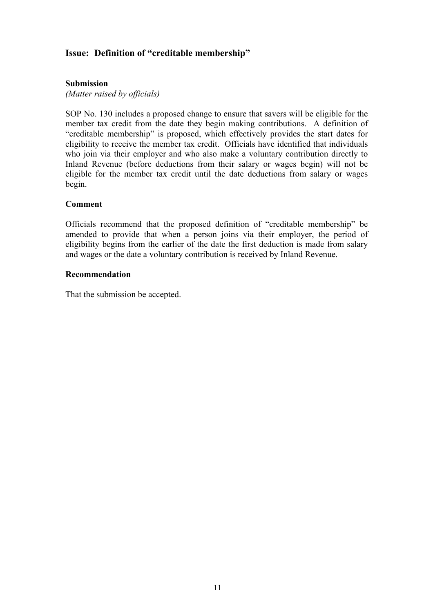## **Issue: Definition of "creditable membership"**

#### **Submission**

*(Matter raised by officials)* 

SOP No. 130 includes a proposed change to ensure that savers will be eligible for the member tax credit from the date they begin making contributions. A definition of "creditable membership" is proposed, which effectively provides the start dates for eligibility to receive the member tax credit. Officials have identified that individuals who join via their employer and who also make a voluntary contribution directly to Inland Revenue (before deductions from their salary or wages begin) will not be eligible for the member tax credit until the date deductions from salary or wages begin.

#### **Comment**

Officials recommend that the proposed definition of "creditable membership" be amended to provide that when a person joins via their employer, the period of eligibility begins from the earlier of the date the first deduction is made from salary and wages or the date a voluntary contribution is received by Inland Revenue.

#### **Recommendation**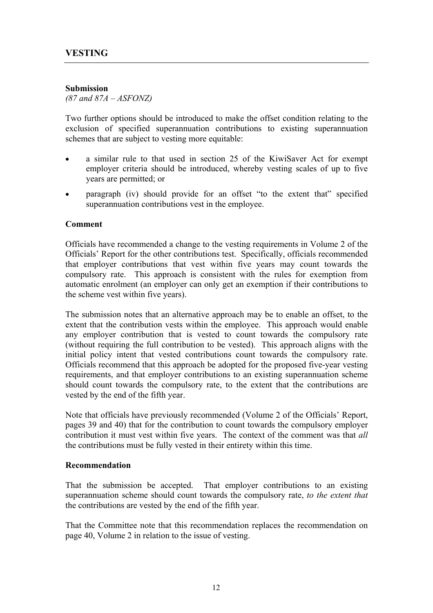#### **Submission**

*(87 and 87A – ASFONZ)*

Two further options should be introduced to make the offset condition relating to the exclusion of specified superannuation contributions to existing superannuation schemes that are subject to vesting more equitable:

- a similar rule to that used in section 25 of the KiwiSaver Act for exempt employer criteria should be introduced, whereby vesting scales of up to five years are permitted; or
- paragraph (iv) should provide for an offset "to the extent that" specified superannuation contributions vest in the employee.

#### **Comment**

Officials have recommended a change to the vesting requirements in Volume 2 of the Officials' Report for the other contributions test. Specifically, officials recommended that employer contributions that vest within five years may count towards the compulsory rate. This approach is consistent with the rules for exemption from automatic enrolment (an employer can only get an exemption if their contributions to the scheme vest within five years).

The submission notes that an alternative approach may be to enable an offset, to the extent that the contribution vests within the employee. This approach would enable any employer contribution that is vested to count towards the compulsory rate (without requiring the full contribution to be vested). This approach aligns with the initial policy intent that vested contributions count towards the compulsory rate. Officials recommend that this approach be adopted for the proposed five-year vesting requirements, and that employer contributions to an existing superannuation scheme should count towards the compulsory rate, to the extent that the contributions are vested by the end of the fifth year.

Note that officials have previously recommended (Volume 2 of the Officials' Report, pages 39 and 40) that for the contribution to count towards the compulsory employer contribution it must vest within five years. The context of the comment was that *all* the contributions must be fully vested in their entirety within this time.

#### **Recommendation**

That the submission be accepted. That employer contributions to an existing superannuation scheme should count towards the compulsory rate, *to the extent that* the contributions are vested by the end of the fifth year.

That the Committee note that this recommendation replaces the recommendation on page 40, Volume 2 in relation to the issue of vesting.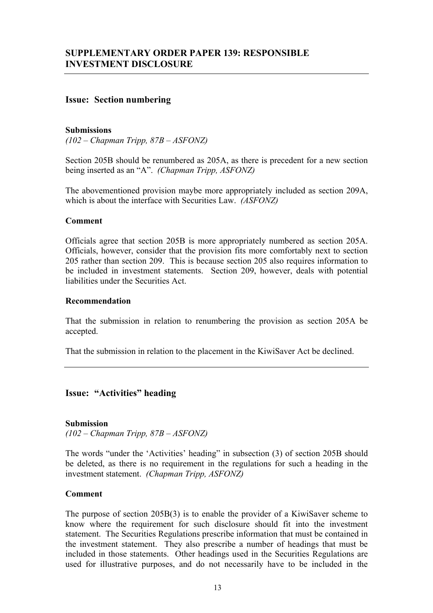#### **Issue: Section numbering**

#### **Submissions**

*(102 – Chapman Tripp, 87B – ASFONZ)* 

Section 205B should be renumbered as 205A, as there is precedent for a new section being inserted as an "A". *(Chapman Tripp, ASFONZ)* 

The abovementioned provision maybe more appropriately included as section 209A, which is about the interface with Securities Law. *(ASFONZ)*

#### **Comment**

Officials agree that section 205B is more appropriately numbered as section 205A. Officials, however, consider that the provision fits more comfortably next to section 205 rather than section 209. This is because section 205 also requires information to be included in investment statements. Section 209, however, deals with potential liabilities under the Securities Act.

#### **Recommendation**

That the submission in relation to renumbering the provision as section 205A be accepted.

That the submission in relation to the placement in the KiwiSaver Act be declined.

#### **Issue: "Activities" heading**

#### **Submission**

*(102 – Chapman Tripp, 87B – ASFONZ)* 

The words "under the 'Activities' heading" in subsection (3) of section 205B should be deleted, as there is no requirement in the regulations for such a heading in the investment statement. *(Chapman Tripp, ASFONZ)*

#### **Comment**

The purpose of section 205B(3) is to enable the provider of a KiwiSaver scheme to know where the requirement for such disclosure should fit into the investment statement. The Securities Regulations prescribe information that must be contained in the investment statement. They also prescribe a number of headings that must be included in those statements. Other headings used in the Securities Regulations are used for illustrative purposes, and do not necessarily have to be included in the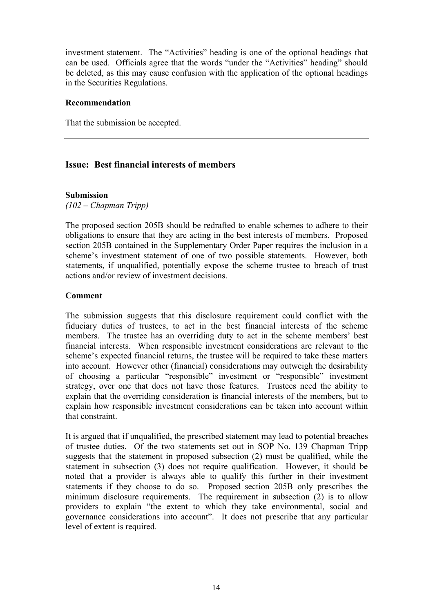investment statement. The "Activities" heading is one of the optional headings that can be used. Officials agree that the words "under the "Activities" heading" should be deleted, as this may cause confusion with the application of the optional headings in the Securities Regulations.

#### **Recommendation**

That the submission be accepted.

## **Issue: Best financial interests of members**

#### **Submission**

*(102 – Chapman Tripp)* 

The proposed section 205B should be redrafted to enable schemes to adhere to their obligations to ensure that they are acting in the best interests of members. Proposed section 205B contained in the Supplementary Order Paper requires the inclusion in a scheme's investment statement of one of two possible statements. However, both statements, if unqualified, potentially expose the scheme trustee to breach of trust actions and/or review of investment decisions.

#### **Comment**

The submission suggests that this disclosure requirement could conflict with the fiduciary duties of trustees, to act in the best financial interests of the scheme members. The trustee has an overriding duty to act in the scheme members' best financial interests. When responsible investment considerations are relevant to the scheme's expected financial returns, the trustee will be required to take these matters into account. However other (financial) considerations may outweigh the desirability of choosing a particular "responsible" investment or "responsible" investment strategy, over one that does not have those features. Trustees need the ability to explain that the overriding consideration is financial interests of the members, but to explain how responsible investment considerations can be taken into account within that constraint.

It is argued that if unqualified, the prescribed statement may lead to potential breaches of trustee duties. Of the two statements set out in SOP No. 139 Chapman Tripp suggests that the statement in proposed subsection (2) must be qualified, while the statement in subsection (3) does not require qualification. However, it should be noted that a provider is always able to qualify this further in their investment statements if they choose to do so. Proposed section 205B only prescribes the minimum disclosure requirements. The requirement in subsection (2) is to allow providers to explain "the extent to which they take environmental, social and governance considerations into account". It does not prescribe that any particular level of extent is required.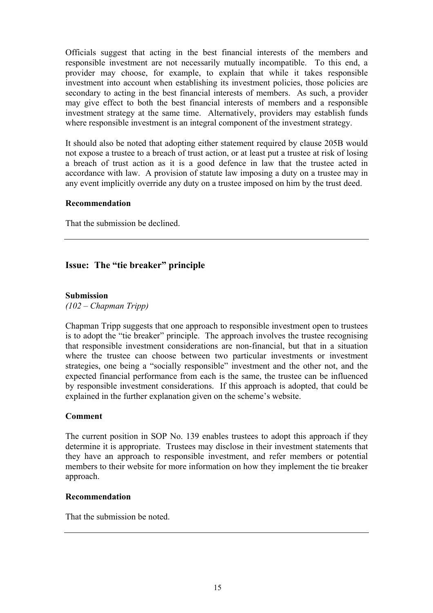Officials suggest that acting in the best financial interests of the members and responsible investment are not necessarily mutually incompatible. To this end, a provider may choose, for example, to explain that while it takes responsible investment into account when establishing its investment policies, those policies are secondary to acting in the best financial interests of members. As such, a provider may give effect to both the best financial interests of members and a responsible investment strategy at the same time. Alternatively, providers may establish funds where responsible investment is an integral component of the investment strategy.

It should also be noted that adopting either statement required by clause 205B would not expose a trustee to a breach of trust action, or at least put a trustee at risk of losing a breach of trust action as it is a good defence in law that the trustee acted in accordance with law. A provision of statute law imposing a duty on a trustee may in any event implicitly override any duty on a trustee imposed on him by the trust deed.

#### **Recommendation**

That the submission be declined.

## **Issue: The "tie breaker" principle**

#### **Submission**

*(102 – Chapman Tripp)* 

Chapman Tripp suggests that one approach to responsible investment open to trustees is to adopt the "tie breaker" principle. The approach involves the trustee recognising that responsible investment considerations are non-financial, but that in a situation where the trustee can choose between two particular investments or investment strategies, one being a "socially responsible" investment and the other not, and the expected financial performance from each is the same, the trustee can be influenced by responsible investment considerations. If this approach is adopted, that could be explained in the further explanation given on the scheme's website.

#### **Comment**

The current position in SOP No. 139 enables trustees to adopt this approach if they determine it is appropriate. Trustees may disclose in their investment statements that they have an approach to responsible investment, and refer members or potential members to their website for more information on how they implement the tie breaker approach.

#### **Recommendation**

That the submission be noted.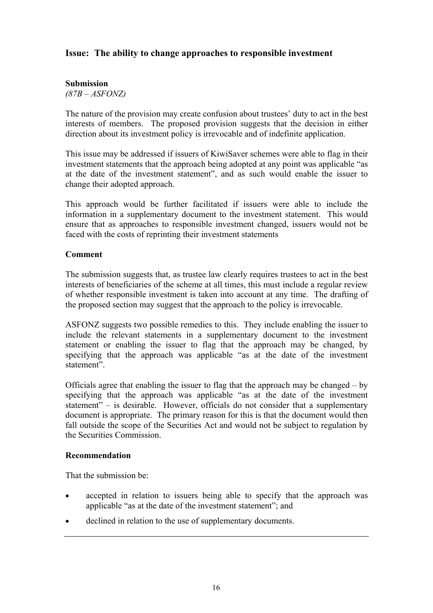## **Issue: The ability to change approaches to responsible investment**

#### **Submission**

*(87B – ASFONZ)* 

The nature of the provision may create confusion about trustees' duty to act in the best interests of members. The proposed provision suggests that the decision in either direction about its investment policy is irrevocable and of indefinite application.

This issue may be addressed if issuers of KiwiSaver schemes were able to flag in their investment statements that the approach being adopted at any point was applicable "as at the date of the investment statement", and as such would enable the issuer to change their adopted approach.

This approach would be further facilitated if issuers were able to include the information in a supplementary document to the investment statement. This would ensure that as approaches to responsible investment changed, issuers would not be faced with the costs of reprinting their investment statements

#### **Comment**

The submission suggests that, as trustee law clearly requires trustees to act in the best interests of beneficiaries of the scheme at all times, this must include a regular review of whether responsible investment is taken into account at any time. The drafting of the proposed section may suggest that the approach to the policy is irrevocable.

ASFONZ suggests two possible remedies to this. They include enabling the issuer to include the relevant statements in a supplementary document to the investment statement or enabling the issuer to flag that the approach may be changed, by specifying that the approach was applicable "as at the date of the investment statement".

Officials agree that enabling the issuer to flag that the approach may be changed – by specifying that the approach was applicable "as at the date of the investment statement" – is desirable. However, officials do not consider that a supplementary document is appropriate. The primary reason for this is that the document would then fall outside the scope of the Securities Act and would not be subject to regulation by the Securities Commission.

#### **Recommendation**

That the submission be:

- accepted in relation to issuers being able to specify that the approach was applicable "as at the date of the investment statement"; and
- declined in relation to the use of supplementary documents.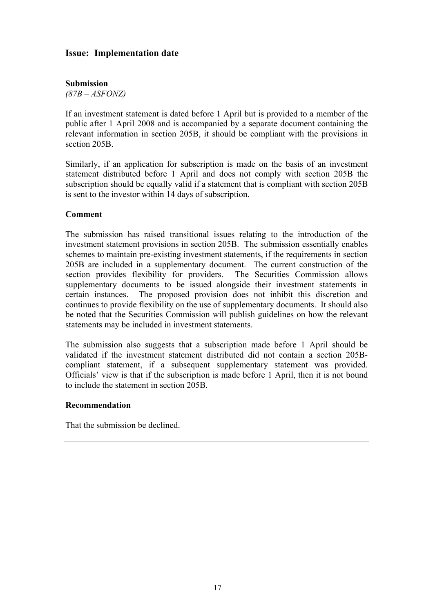## **Issue: Implementation date**

#### **Submission**

*(87B – ASFONZ)* 

If an investment statement is dated before 1 April but is provided to a member of the public after 1 April 2008 and is accompanied by a separate document containing the relevant information in section 205B, it should be compliant with the provisions in section 205B.

Similarly, if an application for subscription is made on the basis of an investment statement distributed before 1 April and does not comply with section 205B the subscription should be equally valid if a statement that is compliant with section 205B is sent to the investor within 14 days of subscription.

#### **Comment**

The submission has raised transitional issues relating to the introduction of the investment statement provisions in section 205B. The submission essentially enables schemes to maintain pre-existing investment statements, if the requirements in section 205B are included in a supplementary document. The current construction of the section provides flexibility for providers. The Securities Commission allows supplementary documents to be issued alongside their investment statements in certain instances. The proposed provision does not inhibit this discretion and continues to provide flexibility on the use of supplementary documents. It should also be noted that the Securities Commission will publish guidelines on how the relevant statements may be included in investment statements.

The submission also suggests that a subscription made before 1 April should be validated if the investment statement distributed did not contain a section 205Bcompliant statement, if a subsequent supplementary statement was provided. Officials' view is that if the subscription is made before 1 April, then it is not bound to include the statement in section 205B.

#### **Recommendation**

That the submission be declined.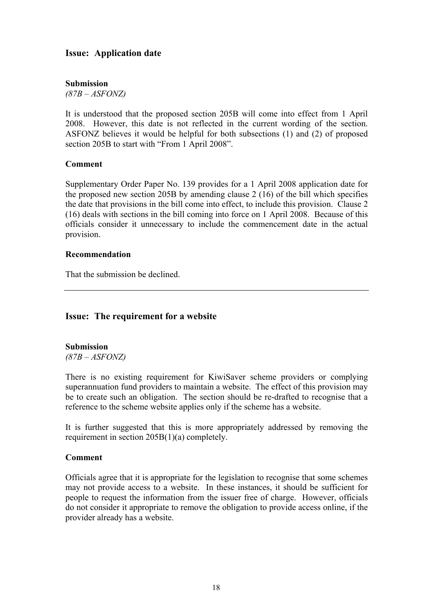## **Issue: Application date**

#### **Submission**

*(87B – ASFONZ)* 

It is understood that the proposed section 205B will come into effect from 1 April 2008. However, this date is not reflected in the current wording of the section. ASFONZ believes it would be helpful for both subsections (1) and (2) of proposed section 205B to start with "From 1 April 2008".

#### **Comment**

Supplementary Order Paper No. 139 provides for a 1 April 2008 application date for the proposed new section 205B by amending clause 2 (16) of the bill which specifies the date that provisions in the bill come into effect, to include this provision. Clause 2 (16) deals with sections in the bill coming into force on 1 April 2008. Because of this officials consider it unnecessary to include the commencement date in the actual provision.

#### **Recommendation**

That the submission be declined.

## **Issue: The requirement for a website**

**Submission**  *(87B – ASFONZ)* 

There is no existing requirement for KiwiSaver scheme providers or complying superannuation fund providers to maintain a website. The effect of this provision may be to create such an obligation. The section should be re-drafted to recognise that a reference to the scheme website applies only if the scheme has a website.

It is further suggested that this is more appropriately addressed by removing the requirement in section 205B(1)(a) completely.

#### **Comment**

Officials agree that it is appropriate for the legislation to recognise that some schemes may not provide access to a website. In these instances, it should be sufficient for people to request the information from the issuer free of charge. However, officials do not consider it appropriate to remove the obligation to provide access online, if the provider already has a website.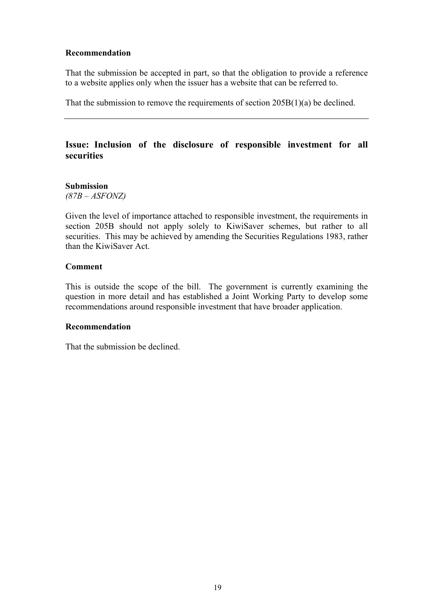#### **Recommendation**

That the submission be accepted in part, so that the obligation to provide a reference to a website applies only when the issuer has a website that can be referred to.

That the submission to remove the requirements of section 205B(1)(a) be declined.

## **Issue: Inclusion of the disclosure of responsible investment for all securities**

#### **Submission**

*(87B – ASFONZ)* 

Given the level of importance attached to responsible investment, the requirements in section 205B should not apply solely to KiwiSaver schemes, but rather to all securities. This may be achieved by amending the Securities Regulations 1983, rather than the KiwiSaver Act.

#### **Comment**

This is outside the scope of the bill. The government is currently examining the question in more detail and has established a Joint Working Party to develop some recommendations around responsible investment that have broader application.

#### **Recommendation**

That the submission be declined.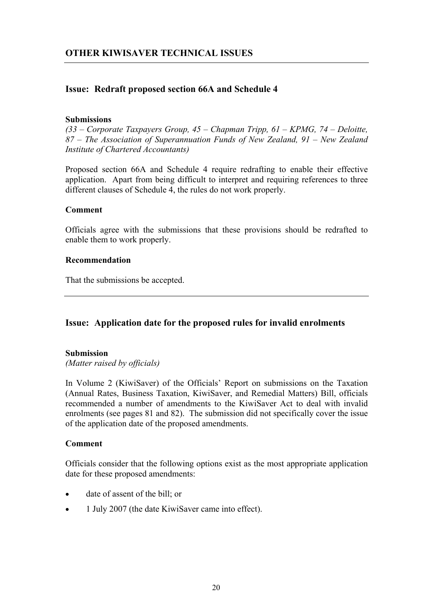## **Issue: Redraft proposed section 66A and Schedule 4**

#### **Submissions**

*(33 – Corporate Taxpayers Group, 45 – Chapman Tripp, 61 – KPMG, 74 – Deloitte, 87 – The Association of Superannuation Funds of New Zealand, 91 – New Zealand Institute of Chartered Accountants)* 

Proposed section 66A and Schedule 4 require redrafting to enable their effective application. Apart from being difficult to interpret and requiring references to three different clauses of Schedule 4, the rules do not work properly.

#### **Comment**

Officials agree with the submissions that these provisions should be redrafted to enable them to work properly.

#### **Recommendation**

That the submissions be accepted.

#### **Issue: Application date for the proposed rules for invalid enrolments**

#### **Submission**

*(Matter raised by officials)* 

In Volume 2 (KiwiSaver) of the Officials' Report on submissions on the Taxation (Annual Rates, Business Taxation, KiwiSaver, and Remedial Matters) Bill, officials recommended a number of amendments to the KiwiSaver Act to deal with invalid enrolments (see pages 81 and 82). The submission did not specifically cover the issue of the application date of the proposed amendments.

#### **Comment**

Officials consider that the following options exist as the most appropriate application date for these proposed amendments:

- date of assent of the bill; or
- 1 July 2007 (the date KiwiSaver came into effect).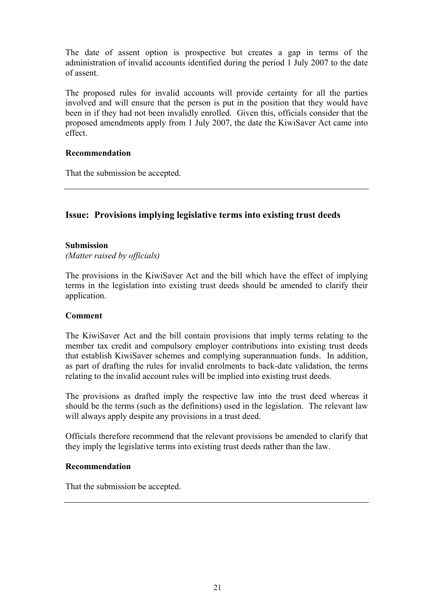The date of assent option is prospective but creates a gap in terms of the administration of invalid accounts identified during the period 1 July 2007 to the date of assent.

The proposed rules for invalid accounts will provide certainty for all the parties involved and will ensure that the person is put in the position that they would have been in if they had not been invalidly enrolled. Given this, officials consider that the proposed amendments apply from 1 July 2007, the date the KiwiSaver Act came into effect.

#### **Recommendation**

That the submission be accepted.

## **Issue: Provisions implying legislative terms into existing trust deeds**

#### **Submission**

*(Matter raised by officials)* 

The provisions in the KiwiSaver Act and the bill which have the effect of implying terms in the legislation into existing trust deeds should be amended to clarify their application.

#### **Comment**

The KiwiSaver Act and the bill contain provisions that imply terms relating to the member tax credit and compulsory employer contributions into existing trust deeds that establish KiwiSaver schemes and complying superannuation funds. In addition, as part of drafting the rules for invalid enrolments to back-date validation, the terms relating to the invalid account rules will be implied into existing trust deeds.

The provisions as drafted imply the respective law into the trust deed whereas it should be the terms (such as the definitions) used in the legislation. The relevant law will always apply despite any provisions in a trust deed.

Officials therefore recommend that the relevant provisions be amended to clarify that they imply the legislative terms into existing trust deeds rather than the law.

#### **Recommendation**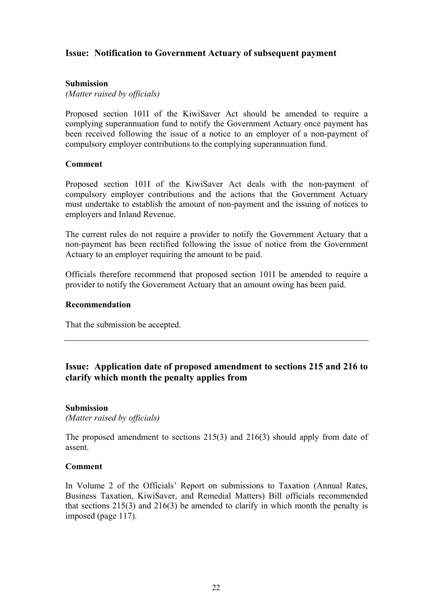## **Issue: Notification to Government Actuary of subsequent payment**

#### **Submission**

*(Matter raised by officials)* 

Proposed section 101I of the KiwiSaver Act should be amended to require a complying superannuation fund to notify the Government Actuary once payment has been received following the issue of a notice to an employer of a non-payment of compulsory employer contributions to the complying superannuation fund.

#### **Comment**

Proposed section 101I of the KiwiSaver Act deals with the non-payment of compulsory employer contributions and the actions that the Government Actuary must undertake to establish the amount of non-payment and the issuing of notices to employers and Inland Revenue.

The current rules do not require a provider to notify the Government Actuary that a non-payment has been rectified following the issue of notice from the Government Actuary to an employer requiring the amount to be paid.

Officials therefore recommend that proposed section 101I be amended to require a provider to notify the Government Actuary that an amount owing has been paid.

#### **Recommendation**

That the submission be accepted.

## **Issue: Application date of proposed amendment to sections 215 and 216 to clarify which month the penalty applies from**

#### **Submission**

*(Matter raised by officials)* 

The proposed amendment to sections 215(3) and 216(3) should apply from date of assent.

#### **Comment**

In Volume 2 of the Officials' Report on submissions to Taxation (Annual Rates, Business Taxation, KiwiSaver, and Remedial Matters) Bill officials recommended that sections 215(3) and 216(3) be amended to clarify in which month the penalty is imposed (page 117).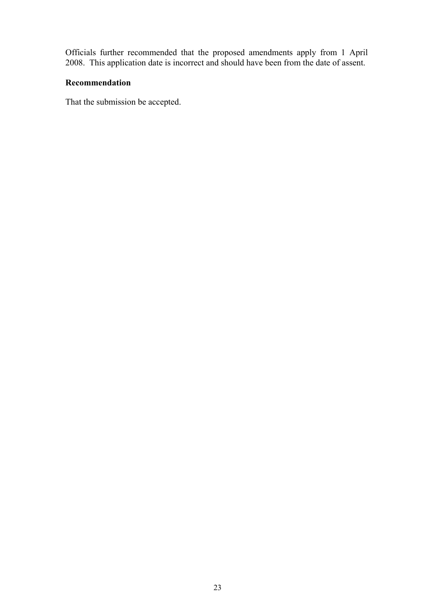Officials further recommended that the proposed amendments apply from 1 April 2008. This application date is incorrect and should have been from the date of assent.

#### **Recommendation**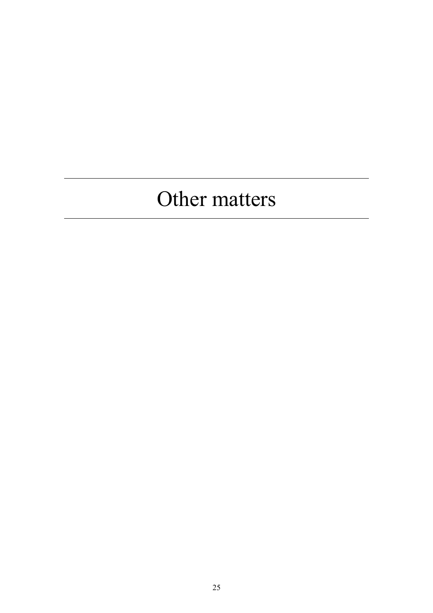## Other matters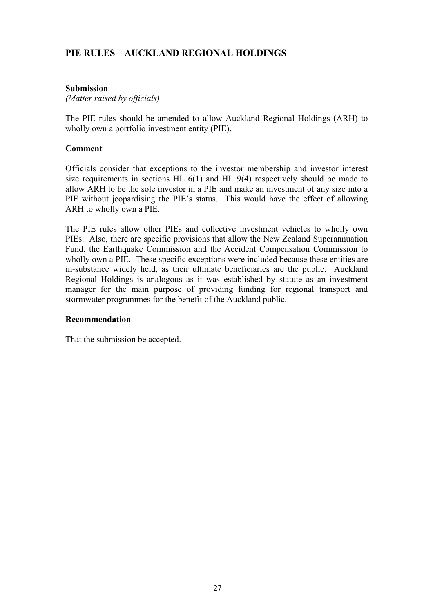#### **Submission**

*(Matter raised by officials)* 

The PIE rules should be amended to allow Auckland Regional Holdings (ARH) to wholly own a portfolio investment entity (PIE).

#### **Comment**

Officials consider that exceptions to the investor membership and investor interest size requirements in sections HL 6(1) and HL 9(4) respectively should be made to allow ARH to be the sole investor in a PIE and make an investment of any size into a PIE without jeopardising the PIE's status. This would have the effect of allowing ARH to wholly own a PIE.

The PIE rules allow other PIEs and collective investment vehicles to wholly own PIEs. Also, there are specific provisions that allow the New Zealand Superannuation Fund, the Earthquake Commission and the Accident Compensation Commission to wholly own a PIE. These specific exceptions were included because these entities are in-substance widely held, as their ultimate beneficiaries are the public. Auckland Regional Holdings is analogous as it was established by statute as an investment manager for the main purpose of providing funding for regional transport and stormwater programmes for the benefit of the Auckland public.

#### **Recommendation**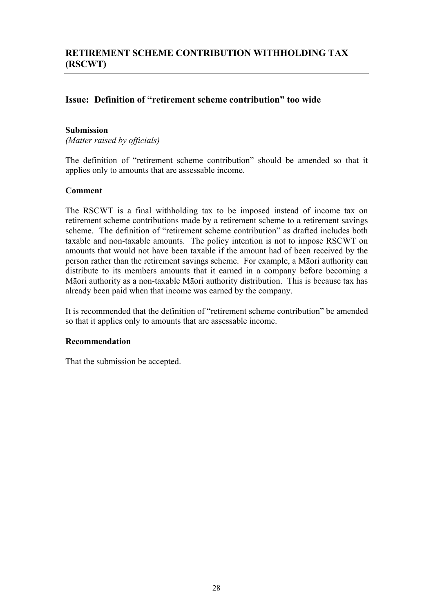## **Issue: Definition of "retirement scheme contribution" too wide**

#### **Submission**

*(Matter raised by officials)* 

The definition of "retirement scheme contribution" should be amended so that it applies only to amounts that are assessable income.

#### **Comment**

The RSCWT is a final withholding tax to be imposed instead of income tax on retirement scheme contributions made by a retirement scheme to a retirement savings scheme. The definition of "retirement scheme contribution" as drafted includes both taxable and non-taxable amounts. The policy intention is not to impose RSCWT on amounts that would not have been taxable if the amount had of been received by the person rather than the retirement savings scheme. For example, a Māori authority can distribute to its members amounts that it earned in a company before becoming a Māori authority as a non-taxable Māori authority distribution. This is because tax has already been paid when that income was earned by the company.

It is recommended that the definition of "retirement scheme contribution" be amended so that it applies only to amounts that are assessable income.

#### **Recommendation**